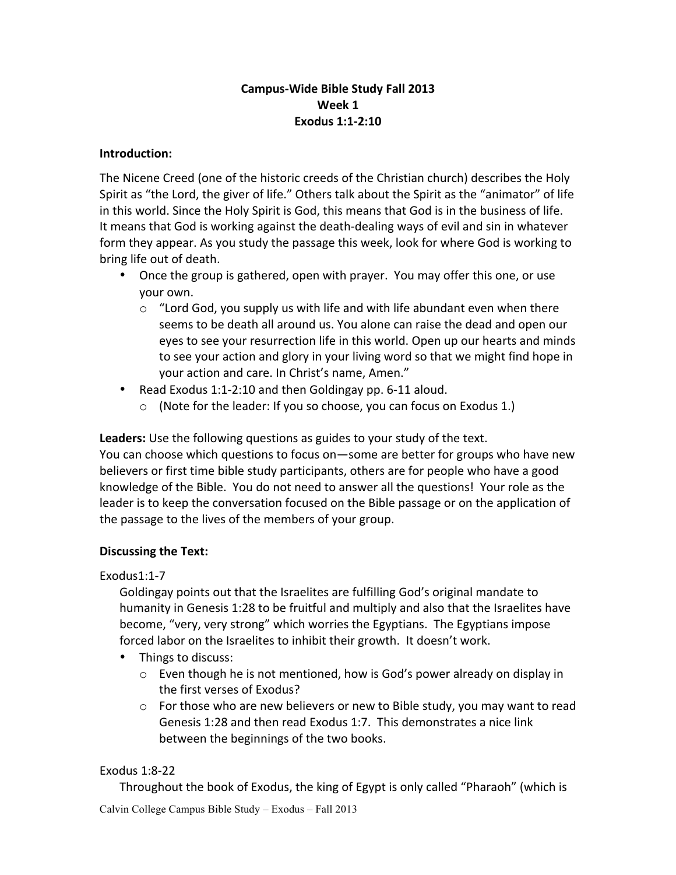# **Campus-Wide Bible Study Fall 2013 Week 1 Exodus 1:1-2:10**

#### **Introduction:**

The Nicene Creed (one of the historic creeds of the Christian church) describes the Holy Spirit as "the Lord, the giver of life." Others talk about the Spirit as the "animator" of life in this world. Since the Holy Spirit is God, this means that God is in the business of life. It means that God is working against the death-dealing ways of evil and sin in whatever form they appear. As you study the passage this week, look for where God is working to bring life out of death.

- Once the group is gathered, open with prayer. You may offer this one, or use your own.
	- $\circ$  "Lord God, you supply us with life and with life abundant even when there seems to be death all around us. You alone can raise the dead and open our eyes to see your resurrection life in this world. Open up our hearts and minds to see your action and glory in your living word so that we might find hope in your action and care. In Christ's name, Amen."
- Read Exodus 1:1-2:10 and then Goldingay pp. 6-11 aloud.
	- $\circ$  (Note for the leader: If you so choose, you can focus on Exodus 1.)

**Leaders:** Use the following questions as guides to your study of the text.

You can choose which questions to focus on—some are better for groups who have new believers or first time bible study participants, others are for people who have a good knowledge of the Bible. You do not need to answer all the questions! Your role as the leader is to keep the conversation focused on the Bible passage or on the application of the passage to the lives of the members of your group.

### **Discussing the Text:**

### Exodus1:1-7

Goldingay points out that the Israelites are fulfilling God's original mandate to humanity in Genesis 1:28 to be fruitful and multiply and also that the Israelites have become, "very, very strong" which worries the Egyptians. The Egyptians impose forced labor on the Israelites to inhibit their growth. It doesn't work.

- Things to discuss:
	- $\circ$  Even though he is not mentioned, how is God's power already on display in the first verses of Exodus?
	- $\circ$  For those who are new believers or new to Bible study, you may want to read Genesis 1:28 and then read Exodus 1:7. This demonstrates a nice link between the beginnings of the two books.

### Exodus 1:8-22

Throughout the book of Exodus, the king of Egypt is only called "Pharaoh" (which is

Calvin College Campus Bible Study – Exodus – Fall 2013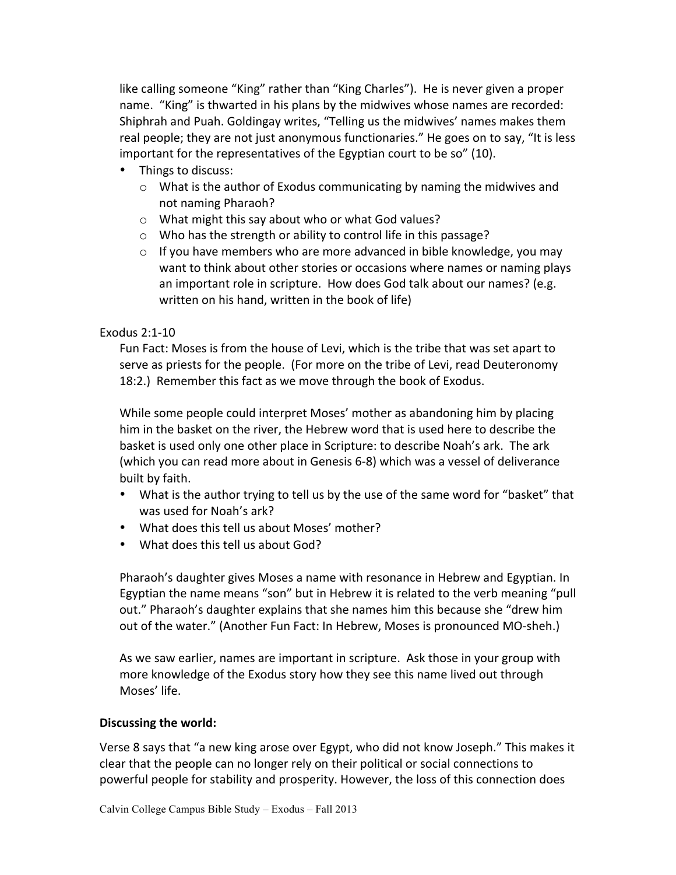like calling someone "King" rather than "King Charles"). He is never given a proper name. "King" is thwarted in his plans by the midwives whose names are recorded: Shiphrah and Puah. Goldingay writes, "Telling us the midwives' names makes them real people; they are not just anonymous functionaries." He goes on to say, "It is less important for the representatives of the Egyptian court to be so" (10).

- Things to discuss:
	- $\circ$  What is the author of Exodus communicating by naming the midwives and not naming Pharaoh?
	- $\circ$  What might this say about who or what God values?
	- $\circ$  Who has the strength or ability to control life in this passage?
	- $\circ$  If you have members who are more advanced in bible knowledge, you may want to think about other stories or occasions where names or naming plays an important role in scripture. How does God talk about our names? (e.g. written on his hand, written in the book of life)

### Exodus 2:1-10

Fun Fact: Moses is from the house of Levi, which is the tribe that was set apart to serve as priests for the people. (For more on the tribe of Levi, read Deuteronomy 18:2.) Remember this fact as we move through the book of Exodus.

While some people could interpret Moses' mother as abandoning him by placing him in the basket on the river, the Hebrew word that is used here to describe the basket is used only one other place in Scripture: to describe Noah's ark. The ark (which you can read more about in Genesis 6-8) which was a vessel of deliverance built by faith.

- What is the author trying to tell us by the use of the same word for "basket" that was used for Noah's ark?
- What does this tell us about Moses' mother?
- What does this tell us about God?

Pharaoh's daughter gives Moses a name with resonance in Hebrew and Egyptian. In Egyptian the name means "son" but in Hebrew it is related to the verb meaning "pull out." Pharaoh's daughter explains that she names him this because she "drew him out of the water." (Another Fun Fact: In Hebrew, Moses is pronounced MO-sheh.)

As we saw earlier, names are important in scripture. Ask those in your group with more knowledge of the Exodus story how they see this name lived out through Moses' life.

# **Discussing the world:**

Verse 8 says that "a new king arose over Egypt, who did not know Joseph." This makes it clear that the people can no longer rely on their political or social connections to powerful people for stability and prosperity. However, the loss of this connection does